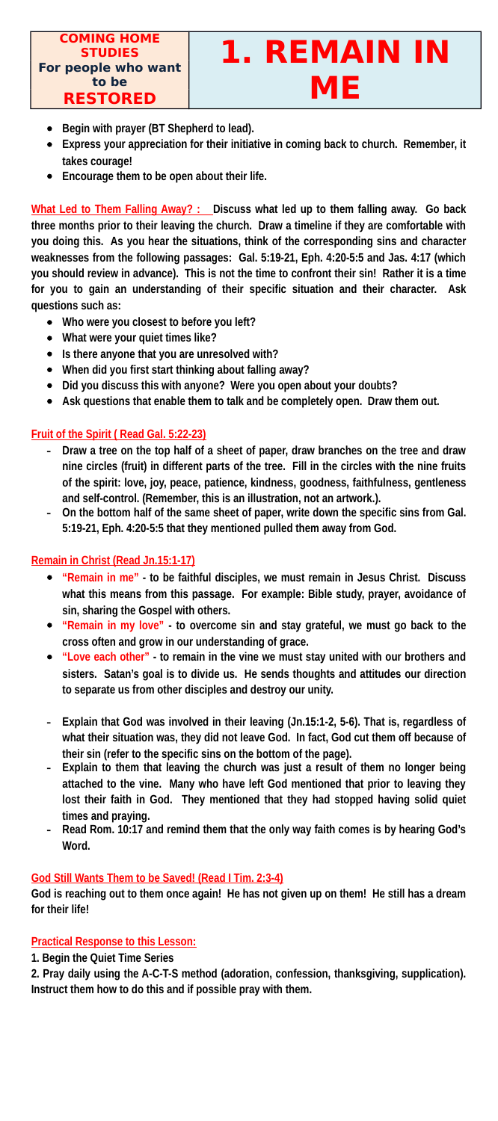# **STUDIES 1. REMAIN IN ME**

- **Begin with prayer (BT Shepherd to lead).**
- **Express your appreciation for their initiative in coming back to church. Remember, it takes courage!**
- **Encourage them to be open about their life.**

**What Led to Them Falling Away? : \_ Discuss what led up to them falling away. Go back three months prior to their leaving the church. Draw a timeline if they are comfortable with you doing this. As you hear the situations, think of the corresponding sins and character weaknesses from the following passages: Gal. 5:19-21, Eph. 4:20-5:5 and Jas. 4:17 (which you should review in advance). This is not the time to confront their sin! Rather it is a time for you to gain an understanding of their specific situation and their character. Ask questions such as:**

- **Who were you closest to before you left?**
- **What were your quiet times like?**
- **Is there anyone that you are unresolved with?**
- **When did you first start thinking about falling away?**
- **Did you discuss this with anyone? Were you open about your doubts?**
- **Ask questions that enable them to talk and be completely open. Draw them out.**

#### **Fruit of the Spirit ( Read Gal. 5:22-23)**

- **- Draw a tree on the top half of a sheet of paper, draw branches on the tree and draw nine circles (fruit) in different parts of the tree. Fill in the circles with the nine fruits of the spirit: love, joy, peace, patience, kindness, goodness, faithfulness, gentleness and self-control. (Remember, this is an illustration, not an artwork.).**
- **- On the bottom half of the same sheet of paper, write down the specific sins from Gal. 5:19-21, Eph. 4:20-5:5 that they mentioned pulled them away from God.**

#### **Remain in Christ (Read Jn.15:1-17)**

- **"Remain in me" to be faithful disciples, we must remain in Jesus Christ. Discuss what this means from this passage. For example: Bible study, prayer, avoidance of sin, sharing the Gospel with others.**
- **"Remain in my love" to overcome sin and stay grateful, we must go back to the cross often and grow in our understanding of grace.**
- **"Love each other" to remain in the vine we must stay united with our brothers and sisters. Satan's goal is to divide us. He sends thoughts and attitudes our direction to separate us from other disciples and destroy our unity.**
- **- Explain that God was involved in their leaving (Jn.15:1-2, 5-6). That is, regardless of what their situation was, they did not leave God. In fact, God cut them off because of their sin (refer to the specific sins on the bottom of the page).**
- **- Explain to them that leaving the church was just a result of them no longer being**
	- **attached to the vine. Many who have left God mentioned that prior to leaving they lost their faith in God. They mentioned that they had stopped having solid quiet times and praying.**
- **- Read Rom. 10:17 and remind them that the only way faith comes is by hearing God's Word.**

#### **God Still Wants Them to be Saved! (Read I Tim. 2:3-4)**

**God is reaching out to them once again! He has not given up on them! He still has a dream for their life!**

#### **Practical Response to this Lesson:**

**1. Begin the Quiet Time Series**

**2. Pray daily using the A-C-T-S method (adoration, confession, thanksgiving, supplication). Instruct them how to do this and if possible pray with them.**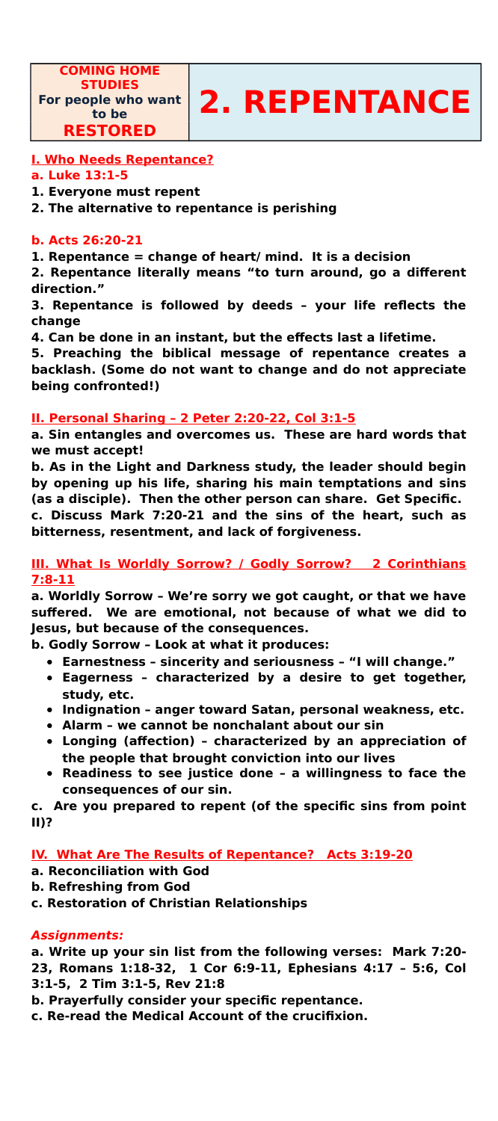**COMING HOME STUDIES For people who want RESTORED**



### **I. Who Needs Repentance?**

#### **a. Luke 13:1-5**

**1. Everyone must repent**

**2. The alternative to repentance is perishing**

#### **b. Acts 26:20-21**

**1. Repentance = change of heart/ mind. It is a decision**

**2. Repentance literally means "to turn around, go a different direction."**

**3. Repentance is followed by deeds – your life reflects the change**

**4. Can be done in an instant, but the effects last a lifetime.**

**5. Preaching the biblical message of repentance creates a backlash. (Some do not want to change and do not appreciate being confronted!)**

#### **II. Personal Sharing – 2 Peter 2:20-22, Col 3:1-5**

**a. Sin entangles and overcomes us. These are hard words that we must accept!**

**b. As in the Light and Darkness study, the leader should begin by opening up his life, sharing his main temptations and sins (as a disciple). Then the other person can share. Get Specific. c. Discuss Mark 7:20-21 and the sins of the heart, such as**

**bitterness, resentment, and lack of forgiveness.**

#### **III. What Is Worldly Sorrow? / Godly Sorrow? 2 Corinthians 7:8-11**

**a. Worldly Sorrow – We're sorry we got caught, or that we have suffered. We are emotional, not because of what we did to Jesus, but because of the consequences.**

**b. Godly Sorrow – Look at what it produces:**

- **Earnestness sincerity and seriousness "I will change."**
- **Eagerness characterized by a desire to get together, study, etc.**
- **Indignation anger toward Satan, personal weakness, etc.**
- **Alarm we cannot be nonchalant about our sin**
- **Longing (affection) characterized by an appreciation of the people that brought conviction into our lives**
- **Readiness to see justice done a willingness to face the**

**consequences of our sin.**

**c. Are you prepared to repent (of the specific sins from point II)?**

#### **IV. What Are The Results of Repentance? Acts 3:19-20**

- **a. Reconciliation with God**
- **b. Refreshing from God**
- **c. Restoration of Christian Relationships**

#### **Assignments:**

- **a. Write up your sin list from the following verses: Mark 7:20-**
- **23, Romans 1:18-32, 1 Cor 6:9-11, Ephesians 4:17 5:6, Col**
- **3:1-5, 2 Tim 3:1-5, Rev 21:8**
- **b. Prayerfully consider your specific repentance.**
- **c. Re-read the Medical Account of the crucifixion.**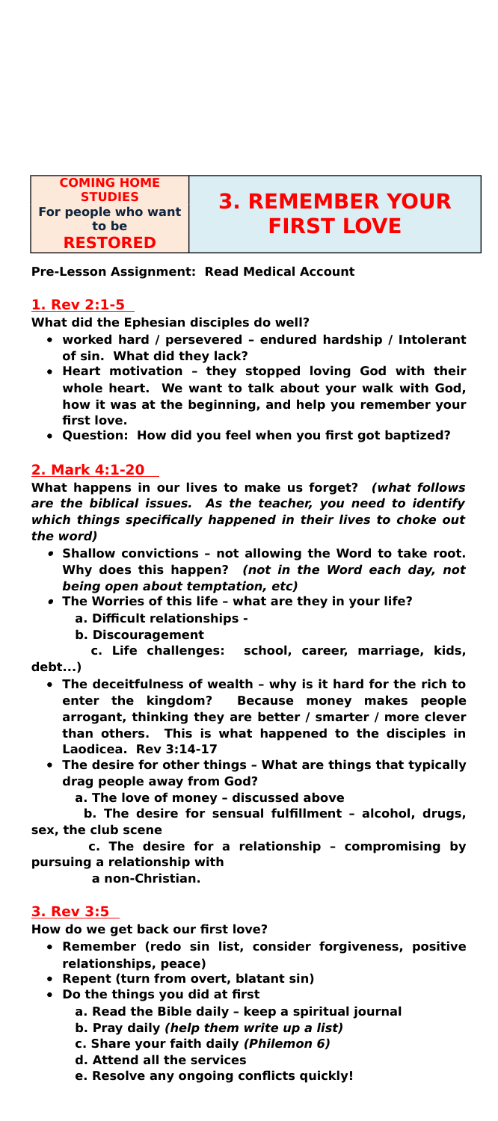# **STUDIES 3. REMEMBER YOUR FIRST LOVE**

**COMING HOME For people who want to be RESTORED**

**Pre-Lesson Assignment: Read Medical Account**

# **1. Rev 2:1-5**

**What did the Ephesian disciples do well?**

- **worked hard / persevered endured hardship / Intolerant of sin. What did they lack?**
- **Heart motivation they stopped loving God with their whole heart. We want to talk about your walk with God, how it was at the beginning, and help you remember your first love.**
- **Question: How did you feel when you first got baptized?**

# **2. Mark 4:1-20**

**What happens in our lives to make us forget? (what follows are the biblical issues. As the teacher, you need to identify which things specifically happened in their lives to choke out the word)**

- **Shallow convictions not allowing the Word to take root. Why does this happen? (not in the Word each day, not being open about temptation, etc)**
- **The Worries of this life what are they in your life?** 
	- **a. Difficult relationships**
	- **b. Discouragement**

 **c. Life challenges: school, career, marriage, kids, debt...)**

- **The deceitfulness of wealth why is it hard for the rich to enter the kingdom? Because money makes people arrogant, thinking they are better / smarter / more clever than others. This is what happened to the disciples in Laodicea. Rev 3:14-17**
- **The desire for other things What are things that typically**

**drag people away from God?**

 **a. The love of money – discussed above**

 **b. The desire for sensual fulfillment – alcohol, drugs, sex, the club scene**

 **c. The desire for a relationship – compromising by pursuing a relationship with a non-Christian.** 

# **3. Rev 3:5**

**How do we get back our first love?**

- **Remember (redo sin list, consider forgiveness, positive relationships, peace)**
- **Repent (turn from overt, blatant sin)**
- **Do the things you did at first**
	- **a. Read the Bible daily keep a spiritual journal**
	- **b. Pray daily (help them write up a list)**
	- **c. Share your faith daily (Philemon 6)**
	- **d. Attend all the services**
	- **e. Resolve any ongoing conflicts quickly!**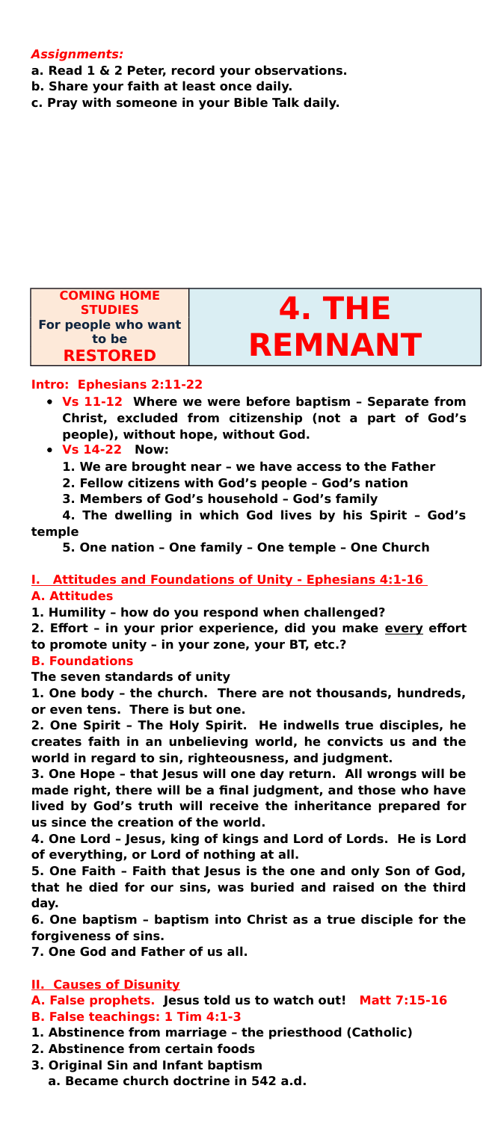#### **Assignments:**

- **a. Read 1 & 2 Peter, record your observations.**
- **b. Share your faith at least once daily.**
- **c. Pray with someone in your Bible Talk daily.**





#### **Intro: Ephesians 2:11-22**

- **Vs 11-12 Where we were before baptism Separate from Christ, excluded from citizenship (not a part of God's people), without hope, without God.**
- **Vs 14-22 Now:** 
	- **1. We are brought near we have access to the Father**
	- **2. Fellow citizens with God's people God's nation**
	- **3. Members of God's household God's family**

**4. The dwelling in which God lives by his Spirit – God's temple**

**5. One nation – One family – One temple – One Church**

# **I. Attitudes and Foundations of Unity - Ephesians 4:1-16**

#### **A. Attitudes**

- **1. Humility how do you respond when challenged?**
- **2. Effort in your prior experience, did you make every effort**
- **to promote unity in your zone, your BT, etc.?**

#### **B. Foundations**

**The seven standards of unity**

**1. One body – the church. There are not thousands, hundreds, or even tens. There is but one.**

**2. One Spirit – The Holy Spirit. He indwells true disciples, he creates faith in an unbelieving world, he convicts us and the world in regard to sin, righteousness, and judgment.**

**3. One Hope – that Jesus will one day return. All wrongs will be made right, there will be a final judgment, and those who have lived by God's truth will receive the inheritance prepared for us since the creation of the world.**

**4. One Lord – Jesus, king of kings and Lord of Lords. He is Lord of everything, or Lord of nothing at all.**

**5. One Faith – Faith that Jesus is the one and only Son of God, that he died for our sins, was buried and raised on the third day.**

**6. One baptism – baptism into Christ as a true disciple for the forgiveness of sins.**

**7. One God and Father of us all.**

#### **II. Causes of Disunity**

**A. False prophets. Jesus told us to watch out! Matt 7:15-16** 

- **B. False teachings: 1 Tim 4:1-3**
- **1. Abstinence from marriage the priesthood (Catholic)**
- **2. Abstinence from certain foods**
- **3. Original Sin and Infant baptism**
	- **a. Became church doctrine in 542 a.d.**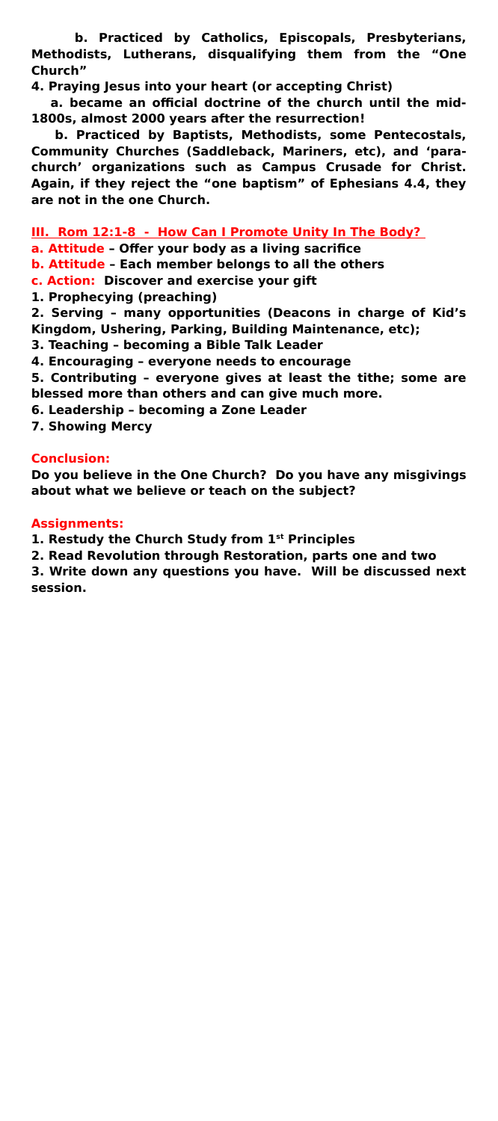**b. Practiced by Catholics, Episcopals, Presbyterians, Methodists, Lutherans, disqualifying them from the "One Church"**

**4. Praying Jesus into your heart (or accepting Christ)** 

 **a. became an official doctrine of the church until the mid-1800s, almost 2000 years after the resurrection!**

 **b. Practiced by Baptists, Methodists, some Pentecostals, Community Churches (Saddleback, Mariners, etc), and 'parachurch' organizations such as Campus Crusade for Christ. Again, if they reject the "one baptism" of Ephesians 4.4, they are not in the one Church.** 

#### **III. Rom 12:1-8 - How Can I Promote Unity In The Body?**

- **a. Attitude Offer your body as a living sacrifice**
- **b. Attitude Each member belongs to all the others**
- **c. Action: Discover and exercise your gift**
- **1. Prophecying (preaching)**

**2. Serving – many opportunities (Deacons in charge of Kid's Kingdom, Ushering, Parking, Building Maintenance, etc);** 

- **3. Teaching becoming a Bible Talk Leader**
- **4. Encouraging everyone needs to encourage**

**5. Contributing – everyone gives at least the tithe; some are blessed more than others and can give much more.**

- **6. Leadership becoming a Zone Leader**
- **7. Showing Mercy**

#### **Conclusion:**

**Do you believe in the One Church? Do you have any misgivings about what we believe or teach on the subject?**

#### **Assignments:**

**1. Restudy the Church Study from 1st Principles**

**2. Read Revolution through Restoration, parts one and two**

**3. Write down any questions you have. Will be discussed next session.**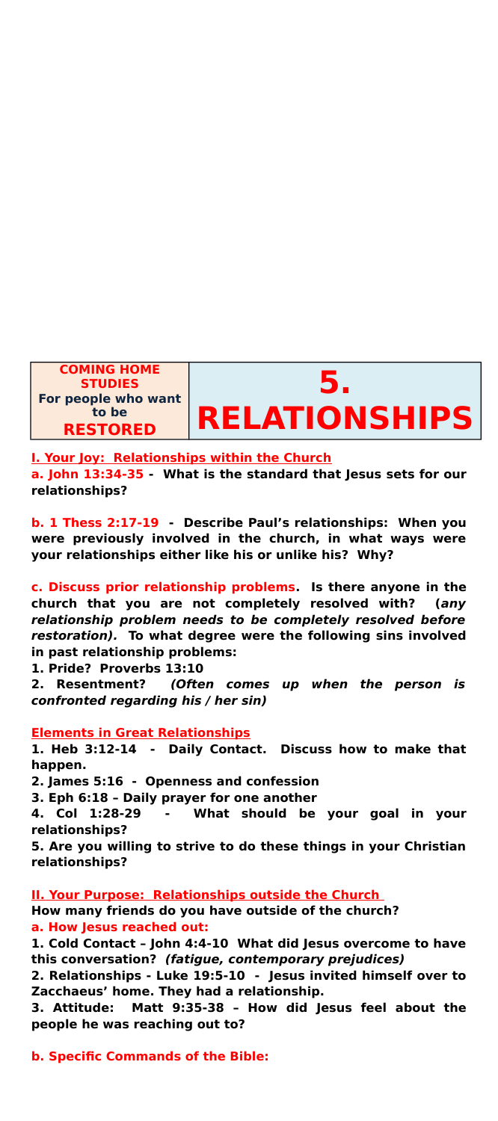

**I. Your Joy: Relationships within the Church**

**a. John 13:34-35 - What is the standard that Jesus sets for our relationships?**

**b. 1 Thess 2:17-19 - Describe Paul's relationships: When you were previously involved in the church, in what ways were your relationships either like his or unlike his? Why?**

**c. Discuss prior relationship problems. Is there anyone in the church that you are not completely resolved with? (any relationship problem needs to be completely resolved before restoration). To what degree were the following sins involved in past relationship problems:**

**1. Pride? Proverbs 13:10**

**2. Resentment? (Often comes up when the person is confronted regarding his / her sin)**

#### **Elements in Great Relationships**

**1. Heb 3:12-14 - Daily Contact. Discuss how to make that happen.**

**2. James 5:16 - Openness and confession**

**3. Eph 6:18 – Daily prayer for one another**

**4. Col 1:28-29 - What should be your goal in your relationships?**

**5. Are you willing to strive to do these things in your Christian relationships?**

#### **II. Your Purpose: Relationships outside the Church**

**How many friends do you have outside of the church?**

**a. How Jesus reached out:**

**1. Cold Contact – John 4:4-10 What did Jesus overcome to have this conversation? (fatigue, contemporary prejudices)**

**2. Relationships - Luke 19:5-10 - Jesus invited himself over to Zacchaeus' home. They had a relationship.** 

**3. Attitude: Matt 9:35-38 – How did Jesus feel about the people he was reaching out to?**

#### **b. Specific Commands of the Bible:**